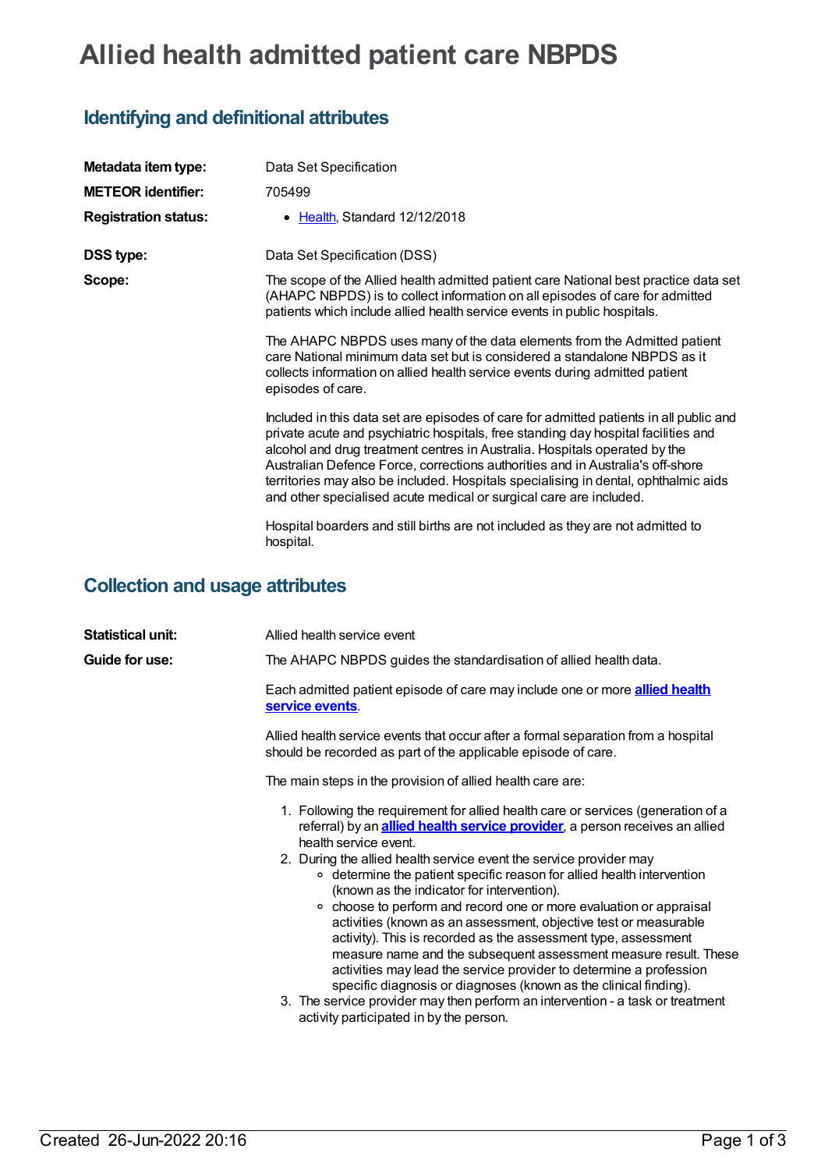## **Allied health admitted patient care NBPDS**

## **Identifying and definitional attributes**

| Metadata item type:         | Data Set Specification                                                                                                                                                                                                                                                                                                                                                                                                                                                                                    |
|-----------------------------|-----------------------------------------------------------------------------------------------------------------------------------------------------------------------------------------------------------------------------------------------------------------------------------------------------------------------------------------------------------------------------------------------------------------------------------------------------------------------------------------------------------|
| <b>METEOR identifier:</b>   | 705499                                                                                                                                                                                                                                                                                                                                                                                                                                                                                                    |
| <b>Registration status:</b> | • Health, Standard 12/12/2018                                                                                                                                                                                                                                                                                                                                                                                                                                                                             |
| <b>DSS type:</b>            | Data Set Specification (DSS)                                                                                                                                                                                                                                                                                                                                                                                                                                                                              |
| Scope:                      | The scope of the Allied health admitted patient care National best practice data set<br>(AHAPC NBPDS) is to collect information on all episodes of care for admitted<br>patients which include allied health service events in public hospitals.                                                                                                                                                                                                                                                          |
|                             | The AHAPC NBPDS uses many of the data elements from the Admitted patient<br>care National minimum data set but is considered a standalone NBPDS as it<br>collects information on allied health service events during admitted patient<br>episodes of care.                                                                                                                                                                                                                                                |
|                             | Included in this data set are episodes of care for admitted patients in all public and<br>private acute and psychiatric hospitals, free standing day hospital facilities and<br>alcohol and drug treatment centres in Australia. Hospitals operated by the<br>Australian Defence Force, corrections authorities and in Australia's off-shore<br>territories may also be included. Hospitals specialising in dental, ophthalmic aids<br>and other specialised acute medical or surgical care are included. |
|                             | Hospital boarders and still births are not included as they are not admitted to<br>hospital.                                                                                                                                                                                                                                                                                                                                                                                                              |

## **Collection and usage attributes**

| <b>Statistical unit:</b> | Allied health service event                                                                                                                                                                                                                                                                                                                                                                                                                                                                                                                                                                                                                                                                                                                                                                                                                                                                                                                           |
|--------------------------|-------------------------------------------------------------------------------------------------------------------------------------------------------------------------------------------------------------------------------------------------------------------------------------------------------------------------------------------------------------------------------------------------------------------------------------------------------------------------------------------------------------------------------------------------------------------------------------------------------------------------------------------------------------------------------------------------------------------------------------------------------------------------------------------------------------------------------------------------------------------------------------------------------------------------------------------------------|
| Guide for use:           | The AHAPC NBPDS guides the standardisation of allied health data.                                                                                                                                                                                                                                                                                                                                                                                                                                                                                                                                                                                                                                                                                                                                                                                                                                                                                     |
|                          | Each admitted patient episode of care may include one or more <b>allied health</b><br>service events.                                                                                                                                                                                                                                                                                                                                                                                                                                                                                                                                                                                                                                                                                                                                                                                                                                                 |
|                          | Allied health service events that occur after a formal separation from a hospital<br>should be recorded as part of the applicable episode of care.                                                                                                                                                                                                                                                                                                                                                                                                                                                                                                                                                                                                                                                                                                                                                                                                    |
|                          | The main steps in the provision of allied health care are:                                                                                                                                                                                                                                                                                                                                                                                                                                                                                                                                                                                                                                                                                                                                                                                                                                                                                            |
|                          | 1. Following the requirement for allied health care or services (generation of a<br>referral) by an <i>allied health service provider</i> , a person receives an allied<br>health service event.<br>2. During the allied health service event the service provider may<br>○ determine the patient specific reason for allied health intervention<br>(known as the indicator for intervention).<br>• choose to perform and record one or more evaluation or appraisal<br>activities (known as an assessment, objective test or measurable<br>activity). This is recorded as the assessment type, assessment<br>measure name and the subsequent assessment measure result. These<br>activities may lead the service provider to determine a profession<br>specific diagnosis or diagnoses (known as the clinical finding).<br>3. The service provider may then perform an intervention - a task or treatment<br>activity participated in by the person. |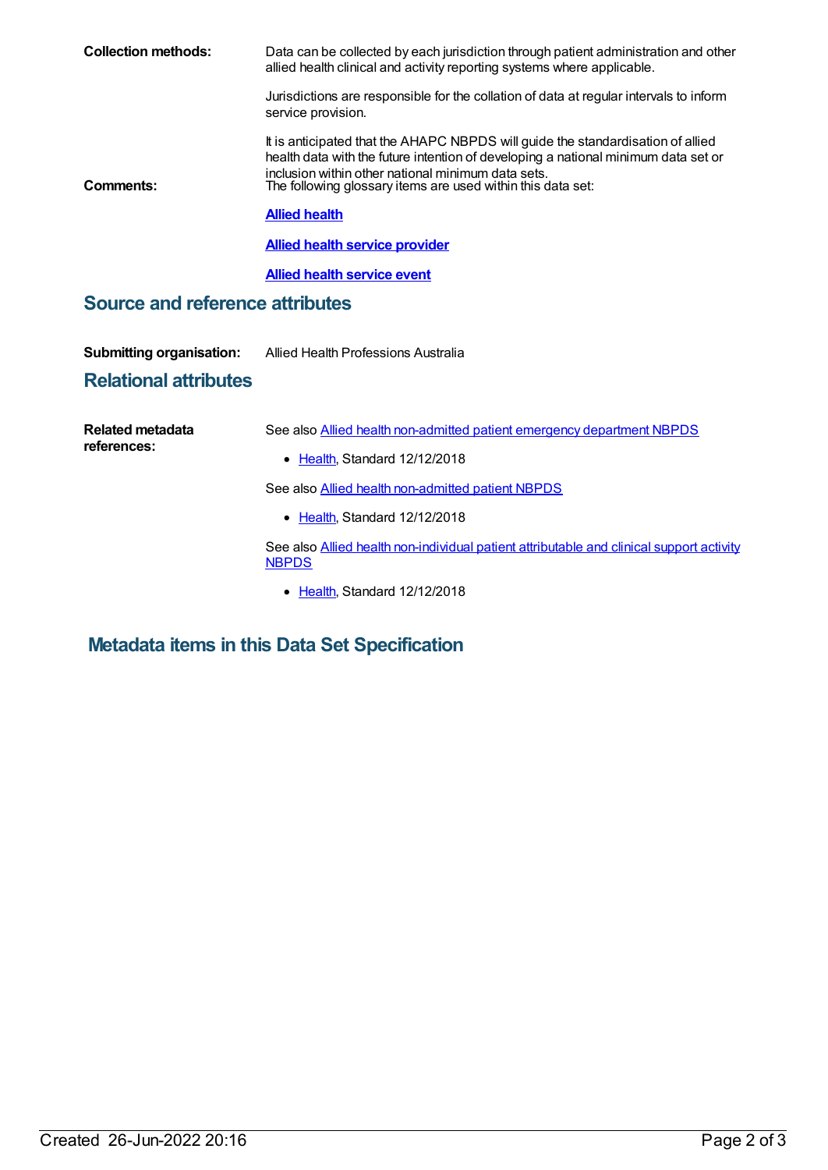| <b>Collection methods:</b>             | Data can be collected by each jurisdiction through patient administration and other<br>allied health clinical and activity reporting systems where applicable.                                                                                                                             |  |  |  |
|----------------------------------------|--------------------------------------------------------------------------------------------------------------------------------------------------------------------------------------------------------------------------------------------------------------------------------------------|--|--|--|
|                                        | Jurisdictions are responsible for the collation of data at regular intervals to inform<br>service provision.                                                                                                                                                                               |  |  |  |
| Comments:                              | It is anticipated that the AHAPC NBPDS will guide the standardisation of allied<br>health data with the future intention of developing a national minimum data set or<br>inclusion within other national minimum data sets.<br>The following glossary items are used within this data set: |  |  |  |
|                                        | <b>Allied health</b>                                                                                                                                                                                                                                                                       |  |  |  |
|                                        | <b>Allied health service provider</b>                                                                                                                                                                                                                                                      |  |  |  |
|                                        | <b>Allied health service event</b>                                                                                                                                                                                                                                                         |  |  |  |
| <b>Source and reference attributes</b> |                                                                                                                                                                                                                                                                                            |  |  |  |
| <b>Submitting organisation:</b>        | Allied Health Professions Australia                                                                                                                                                                                                                                                        |  |  |  |
| <b>Relational attributes</b>           |                                                                                                                                                                                                                                                                                            |  |  |  |
| <b>Related metadata</b><br>references: | See also Allied health non-admitted patient emergency department NBPDS                                                                                                                                                                                                                     |  |  |  |
|                                        | • Health, Standard 12/12/2018                                                                                                                                                                                                                                                              |  |  |  |
|                                        | See also Allied health non-admitted patient NBPDS                                                                                                                                                                                                                                          |  |  |  |
|                                        | • Health, Standard 12/12/2018                                                                                                                                                                                                                                                              |  |  |  |
|                                        | See also Allied health non-individual patient attributable and clinical support activity<br><b>NBPDS</b>                                                                                                                                                                                   |  |  |  |
|                                        | • Health, Standard 12/12/2018                                                                                                                                                                                                                                                              |  |  |  |

**Metadata items in this Data Set Specification**